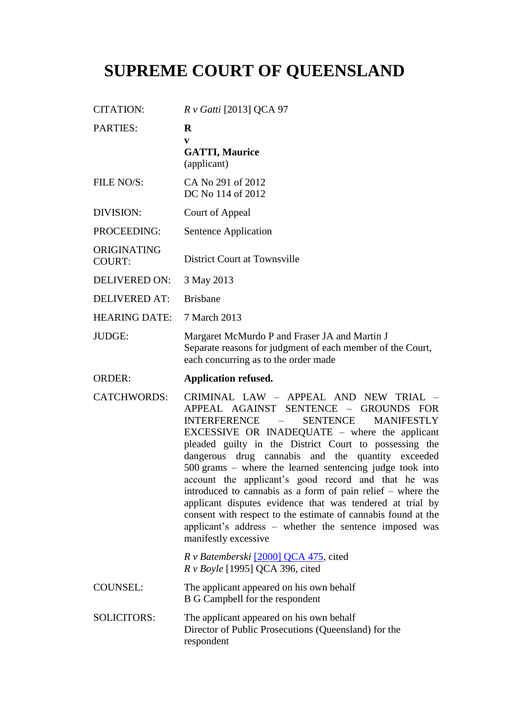## **SUPREME COURT OF QUEENSLAND**

| <b>CITATION:</b>             | $R v$ Gatti [2013] QCA 97                                                                                                                                                                                                                                                                                                                                                                                                                                                                                                                                                                                                                                                                                                                       |
|------------------------------|-------------------------------------------------------------------------------------------------------------------------------------------------------------------------------------------------------------------------------------------------------------------------------------------------------------------------------------------------------------------------------------------------------------------------------------------------------------------------------------------------------------------------------------------------------------------------------------------------------------------------------------------------------------------------------------------------------------------------------------------------|
| <b>PARTIES:</b>              | R<br>V                                                                                                                                                                                                                                                                                                                                                                                                                                                                                                                                                                                                                                                                                                                                          |
|                              | <b>GATTI, Maurice</b><br>(applicant)                                                                                                                                                                                                                                                                                                                                                                                                                                                                                                                                                                                                                                                                                                            |
| FILE NO/S:                   | CA No 291 of 2012<br>DC No 114 of 2012                                                                                                                                                                                                                                                                                                                                                                                                                                                                                                                                                                                                                                                                                                          |
| DIVISION:                    | Court of Appeal                                                                                                                                                                                                                                                                                                                                                                                                                                                                                                                                                                                                                                                                                                                                 |
| PROCEEDING:                  | Sentence Application                                                                                                                                                                                                                                                                                                                                                                                                                                                                                                                                                                                                                                                                                                                            |
| ORIGINATING<br><b>COURT:</b> | District Court at Townsville                                                                                                                                                                                                                                                                                                                                                                                                                                                                                                                                                                                                                                                                                                                    |
| <b>DELIVERED ON:</b>         | 3 May 2013                                                                                                                                                                                                                                                                                                                                                                                                                                                                                                                                                                                                                                                                                                                                      |
| <b>DELIVERED AT:</b>         | <b>Brisbane</b>                                                                                                                                                                                                                                                                                                                                                                                                                                                                                                                                                                                                                                                                                                                                 |
| <b>HEARING DATE:</b>         | 7 March 2013                                                                                                                                                                                                                                                                                                                                                                                                                                                                                                                                                                                                                                                                                                                                    |
| JUDGE:                       | Margaret McMurdo P and Fraser JA and Martin J<br>Separate reasons for judgment of each member of the Court,<br>each concurring as to the order made                                                                                                                                                                                                                                                                                                                                                                                                                                                                                                                                                                                             |
| <b>ORDER:</b>                | <b>Application refused.</b>                                                                                                                                                                                                                                                                                                                                                                                                                                                                                                                                                                                                                                                                                                                     |
| <b>CATCHWORDS:</b>           | CRIMINAL LAW - APPEAL AND NEW TRIAL -<br>APPEAL AGAINST SENTENCE - GROUNDS FOR<br><b>INTERFERENCE</b><br><b>SENTENCE</b><br><b>MANIFESTLY</b><br>$\overline{\phantom{a}}$<br>EXCESSIVE OR INADEQUATE – where the applicant<br>pleaded guilty in the District Court to possessing the<br>dangerous drug cannabis and the quantity exceeded<br>$500$ grams – where the learned sentencing judge took into<br>account the applicant's good record and that he was<br>introduced to cannabis as a form of pain relief $-$ where the<br>applicant disputes evidence that was tendered at trial by<br>consent with respect to the estimate of cannabis found at the<br>applicant's address – whether the sentence imposed was<br>manifestly excessive |
|                              | R v Batemberski [2000] QCA 475, cited<br>R v Boyle [1995] QCA 396, cited                                                                                                                                                                                                                                                                                                                                                                                                                                                                                                                                                                                                                                                                        |
| <b>COUNSEL:</b>              | The applicant appeared on his own behalf<br><b>B G Campbell for the respondent</b>                                                                                                                                                                                                                                                                                                                                                                                                                                                                                                                                                                                                                                                              |
| <b>SOLICITORS:</b>           | The applicant appeared on his own behalf<br>Director of Public Prosecutions (Queensland) for the<br>respondent                                                                                                                                                                                                                                                                                                                                                                                                                                                                                                                                                                                                                                  |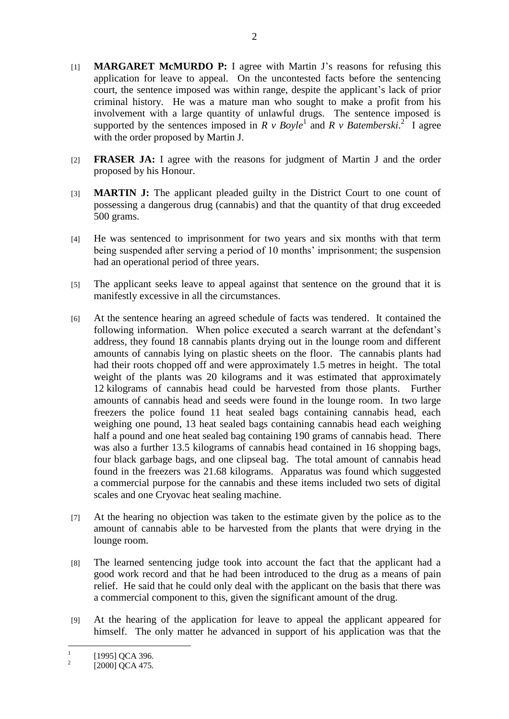- [1] **MARGARET McMURDO P:** I agree with Martin J's reasons for refusing this application for leave to appeal. On the uncontested facts before the sentencing court, the sentence imposed was within range, despite the applicant's lack of prior criminal history. He was a mature man who sought to make a profit from his involvement with a large quantity of unlawful drugs. The sentence imposed is supported by the sentences imposed in  $R \vee Boyle^1$  and  $R \vee Batenberski.$ <sup>2</sup> I agree with the order proposed by Martin J.
- [2] **FRASER JA:** I agree with the reasons for judgment of Martin J and the order proposed by his Honour.
- [3] **MARTIN J:** The applicant pleaded guilty in the District Court to one count of possessing a dangerous drug (cannabis) and that the quantity of that drug exceeded 500 grams.
- [4] He was sentenced to imprisonment for two years and six months with that term being suspended after serving a period of 10 months' imprisonment; the suspension had an operational period of three years.
- [5] The applicant seeks leave to appeal against that sentence on the ground that it is manifestly excessive in all the circumstances.
- [6] At the sentence hearing an agreed schedule of facts was tendered. It contained the following information. When police executed a search warrant at the defendant's address, they found 18 cannabis plants drying out in the lounge room and different amounts of cannabis lying on plastic sheets on the floor. The cannabis plants had had their roots chopped off and were approximately 1.5 metres in height. The total weight of the plants was 20 kilograms and it was estimated that approximately 12 kilograms of cannabis head could be harvested from those plants. Further amounts of cannabis head and seeds were found in the lounge room. In two large freezers the police found 11 heat sealed bags containing cannabis head, each weighing one pound, 13 heat sealed bags containing cannabis head each weighing half a pound and one heat sealed bag containing 190 grams of cannabis head. There was also a further 13.5 kilograms of cannabis head contained in 16 shopping bags, four black garbage bags, and one clipseal bag. The total amount of cannabis head found in the freezers was 21.68 kilograms. Apparatus was found which suggested a commercial purpose for the cannabis and these items included two sets of digital scales and one Cryovac heat sealing machine.
- [7] At the hearing no objection was taken to the estimate given by the police as to the amount of cannabis able to be harvested from the plants that were drying in the lounge room.
- [8] The learned sentencing judge took into account the fact that the applicant had a good work record and that he had been introduced to the drug as a means of pain relief. He said that he could only deal with the applicant on the basis that there was a commercial component to this, given the significant amount of the drug.
- [9] At the hearing of the application for leave to appeal the applicant appeared for himself. The only matter he advanced in support of his application was that the

 $\frac{1}{1}$ [1995] QCA 396.

 $2<sup>2</sup>$ [2000] QCA 475.